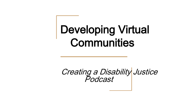# Developing Virtual **Communities**

Creating a Disability Justice Podcast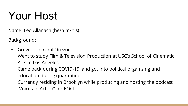## Your Host

Name: Leo Allanach (he/him/his)

Background:

- + Grew up in rural Oregon
- + Went to study Film & Television Production at USC's School of Cinematic Arts in Los Angeles
- + Came back during COVID-19, and got into political organizing and education during quarantine
- + Currently residing in Brooklyn while producing and hosting the podcast "Voices in Action" for EOCIL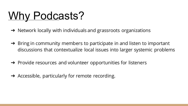## Why Podcasts?

- ➔ Network locally with individuals and grassroots organizations
- $\rightarrow$  Bring in community members to participate in and listen to important discussions that contextualize local issues into larger systemic problems
- $\rightarrow$  Provide resources and volunteer opportunities for listeners
- $\rightarrow$  Accessible, particularly for remote recording.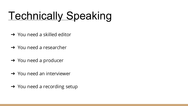# **Technically Speaking**

- **→** You need a skilled editor
- $\rightarrow$  You need a researcher
- $\rightarrow$  You need a producer
- **→** You need an interviewer
- **→** You need a recording setup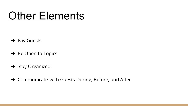#### Other Elements

- ➔ Pay Guests
- ➔ Be Open to Topics
- → Stay Organized!
- ➔ Communicate with Guests During, Before, and After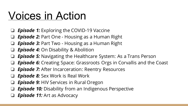#### Voices in Action

- ❏ *Episode 1:* Exploring the COVID-19 Vaccine
- **Episode 2:** Part One Housing as a Human Right
- **Episode 3:** Part Two Housing as a Human Right
- ❏ *Episode 4:* On Disability & Abolition
- **Episode 5:** Navigating the Healthcare System: As a Trans Person
- **Episode 6:** Creating Space: Grassroots Orgs in Corvallis and the Coast
- *Episode 7:* After Incarceration: Reentry Resources
- ❏ *Episode 8:* Sex Work is Real Work
- *Episode 9:* HIV Services in Rural Oregon
- **Episode 10:** Disability from an Indigenous Perspective
- ❏ *Episode 11:* Art as Advocacy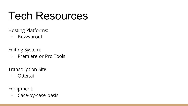#### Tech Resources

Hosting Platforms:

+ Buzzsprout

Editing System:

+ Premiere or Pro Tools

Transcription Site:

+ Otter.ai

Equipment:

+ Case-by-case basis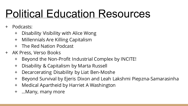## Political Education Resources

- + Podcasts:
	- + Disability Visibility with Alice Wong
	- + Millennials Are Killing Capitalism
	- + The Red Nation Podcast
- + AK Press, Verso Books
	- + Beyond the Non-Profit Industrial Complex by INCITE!
	- + Disability & Capitalism by Marta Russell
	- + Decarcerating Disability by Liat Ben-Moshe
	- + Beyond Survival by Ejeris Dixon and Leah Lakshmi Piepzna-Samarasinha
	- + Medical Apartheid by Harriet A Washington
	- + ...Many, many more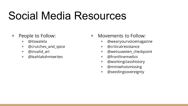## Social Media Resources

#### + People to Follow:

- + @itswalela
- + @crutches\_and\_spice
- + @invalid\_art
- + @leahlakshmiwrites
- + Movements to Follow:
	- + @wearyourvoicemagazine
	- + @criticalresistance
	- + @wetsuweten\_checkpoint
	- + @frontlinemedics
	- + @workingclasshistory
	- + @mmiwhoismissing
	- + @seedingsovereignty